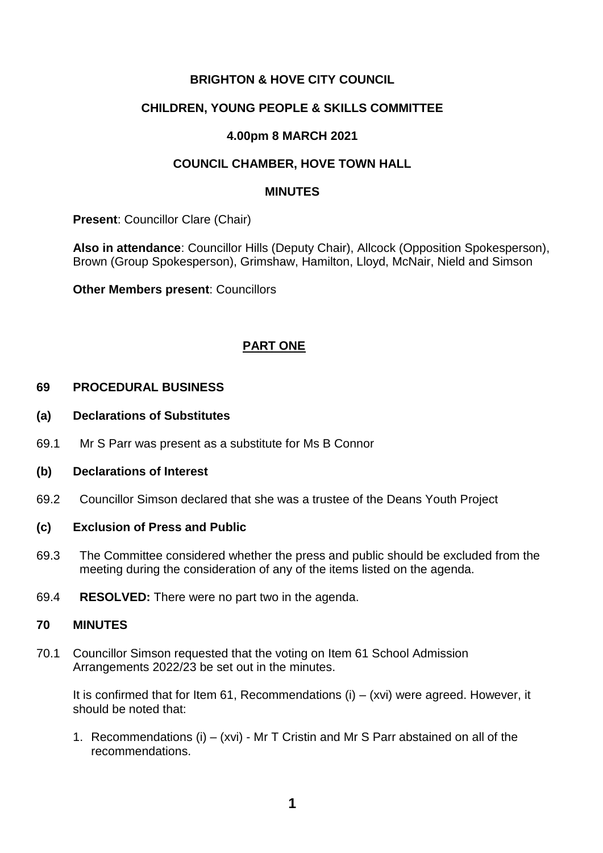## **BRIGHTON & HOVE CITY COUNCIL**

## **CHILDREN, YOUNG PEOPLE & SKILLS COMMITTEE**

### **4.00pm 8 MARCH 2021**

## **COUNCIL CHAMBER, HOVE TOWN HALL**

#### **MINUTES**

**Present**: Councillor Clare (Chair)

**Also in attendance**: Councillor Hills (Deputy Chair), Allcock (Opposition Spokesperson), Brown (Group Spokesperson), Grimshaw, Hamilton, Lloyd, McNair, Nield and Simson

**Other Members present**: Councillors

## **PART ONE**

#### **69 PROCEDURAL BUSINESS**

- **(a) Declarations of Substitutes**
- 69.1 Mr S Parr was present as a substitute for Ms B Connor
- **(b) Declarations of Interest**
- 69.2 Councillor Simson declared that she was a trustee of the Deans Youth Project

### **(c) Exclusion of Press and Public**

- 69.3 The Committee considered whether the press and public should be excluded from the meeting during the consideration of any of the items listed on the agenda.
- 69.4 **RESOLVED:** There were no part two in the agenda.

#### **70 MINUTES**

70.1 Councillor Simson requested that the voting on Item 61 School Admission Arrangements 2022/23 be set out in the minutes.

It is confirmed that for Item 61, Recommendations  $(i) - (xvi)$  were agreed. However, it should be noted that:

1. Recommendations (i) – (xvi) - Mr T Cristin and Mr S Parr abstained on all of the recommendations.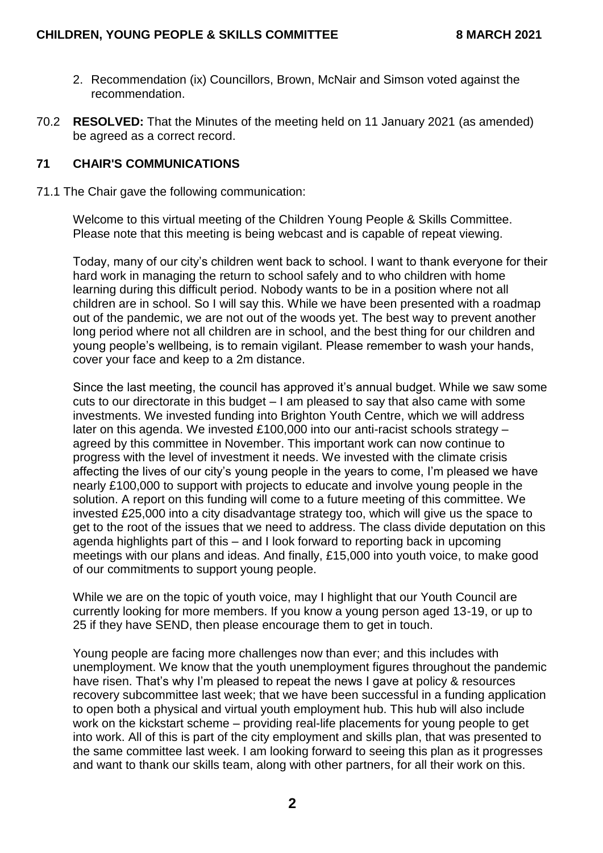- 2. Recommendation (ix) Councillors, Brown, McNair and Simson voted against the recommendation.
- 70.2 **RESOLVED:** That the Minutes of the meeting held on 11 January 2021 (as amended) be agreed as a correct record.

#### **71 CHAIR'S COMMUNICATIONS**

71.1 The Chair gave the following communication:

Welcome to this virtual meeting of the Children Young People & Skills Committee. Please note that this meeting is being webcast and is capable of repeat viewing.

Today, many of our city's children went back to school. I want to thank everyone for their hard work in managing the return to school safely and to who children with home learning during this difficult period. Nobody wants to be in a position where not all children are in school. So I will say this. While we have been presented with a roadmap out of the pandemic, we are not out of the woods yet. The best way to prevent another long period where not all children are in school, and the best thing for our children and young people's wellbeing, is to remain vigilant. Please remember to wash your hands, cover your face and keep to a 2m distance.

Since the last meeting, the council has approved it's annual budget. While we saw some cuts to our directorate in this budget – I am pleased to say that also came with some investments. We invested funding into Brighton Youth Centre, which we will address later on this agenda. We invested £100,000 into our anti-racist schools strategy – agreed by this committee in November. This important work can now continue to progress with the level of investment it needs. We invested with the climate crisis affecting the lives of our city's young people in the years to come, I'm pleased we have nearly £100,000 to support with projects to educate and involve young people in the solution. A report on this funding will come to a future meeting of this committee. We invested £25,000 into a city disadvantage strategy too, which will give us the space to get to the root of the issues that we need to address. The class divide deputation on this agenda highlights part of this – and I look forward to reporting back in upcoming meetings with our plans and ideas. And finally, £15,000 into youth voice, to make good of our commitments to support young people.

While we are on the topic of youth voice, may I highlight that our Youth Council are currently looking for more members. If you know a young person aged 13-19, or up to 25 if they have SEND, then please encourage them to get in touch.

Young people are facing more challenges now than ever; and this includes with unemployment. We know that the youth unemployment figures throughout the pandemic have risen. That's why I'm pleased to repeat the news I gave at policy & resources recovery subcommittee last week; that we have been successful in a funding application to open both a physical and virtual youth employment hub. This hub will also include work on the kickstart scheme – providing real-life placements for young people to get into work. All of this is part of the city employment and skills plan, that was presented to the same committee last week. I am looking forward to seeing this plan as it progresses and want to thank our skills team, along with other partners, for all their work on this.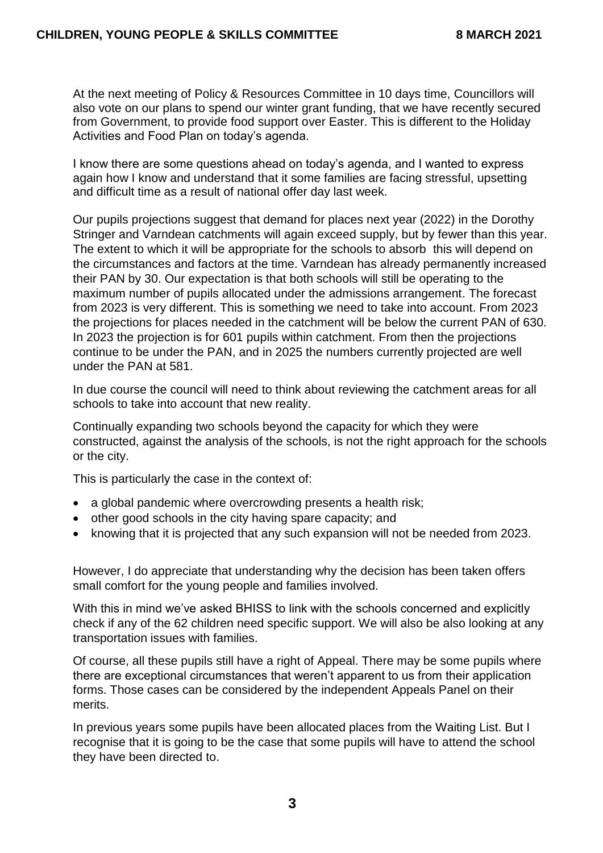At the next meeting of Policy & Resources Committee in 10 days time, Councillors will also vote on our plans to spend our winter grant funding, that we have recently secured from Government, to provide food support over Easter. This is different to the Holiday Activities and Food Plan on today's agenda.

I know there are some questions ahead on today's agenda, and I wanted to express again how I know and understand that it some families are facing stressful, upsetting and difficult time as a result of national offer day last week.

Our pupils projections suggest that demand for places next year (2022) in the Dorothy Stringer and Varndean catchments will again exceed supply, but by fewer than this year. The extent to which it will be appropriate for the schools to absorb this will depend on the circumstances and factors at the time. Varndean has already permanently increased their PAN by 30. Our expectation is that both schools will still be operating to the maximum number of pupils allocated under the admissions arrangement. The forecast from 2023 is very different. This is something we need to take into account. From 2023 the projections for places needed in the catchment will be below the current PAN of 630. In 2023 the projection is for 601 pupils within catchment. From then the projections continue to be under the PAN, and in 2025 the numbers currently projected are well under the PAN at 581.

In due course the council will need to think about reviewing the catchment areas for all schools to take into account that new reality.

Continually expanding two schools beyond the capacity for which they were constructed, against the analysis of the schools, is not the right approach for the schools or the city.

This is particularly the case in the context of:

- a global pandemic where overcrowding presents a health risk;
- other good schools in the city having spare capacity; and
- knowing that it is projected that any such expansion will not be needed from 2023.

However, I do appreciate that understanding why the decision has been taken offers small comfort for the young people and families involved.

With this in mind we've asked BHISS to link with the schools concerned and explicitly check if any of the 62 children need specific support. We will also be also looking at any transportation issues with families.

Of course, all these pupils still have a right of Appeal. There may be some pupils where there are exceptional circumstances that weren't apparent to us from their application forms. Those cases can be considered by the independent Appeals Panel on their merits.

In previous years some pupils have been allocated places from the Waiting List. But I recognise that it is going to be the case that some pupils will have to attend the school they have been directed to.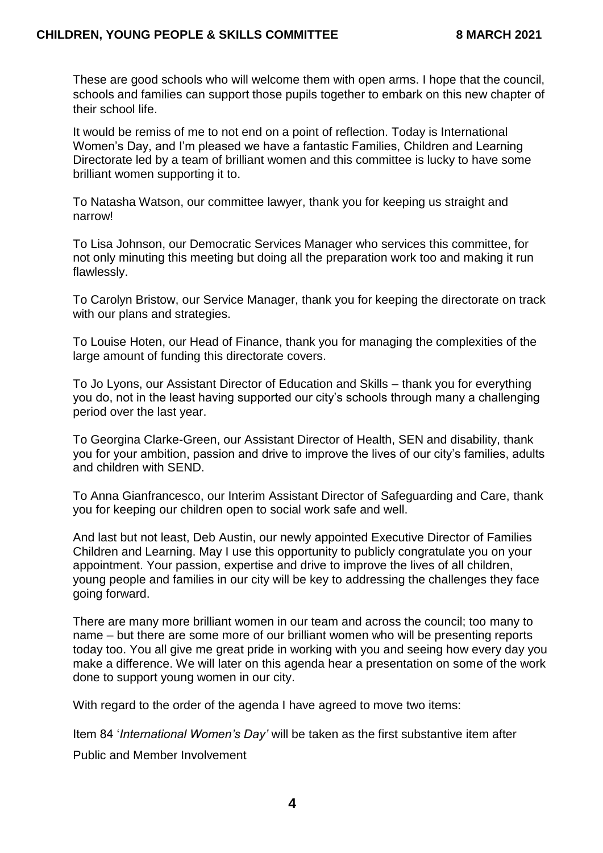These are good schools who will welcome them with open arms. I hope that the council, schools and families can support those pupils together to embark on this new chapter of their school life.

It would be remiss of me to not end on a point of reflection. Today is International Women's Day, and I'm pleased we have a fantastic Families, Children and Learning Directorate led by a team of brilliant women and this committee is lucky to have some brilliant women supporting it to.

To Natasha Watson, our committee lawyer, thank you for keeping us straight and narrow!

To Lisa Johnson, our Democratic Services Manager who services this committee, for not only minuting this meeting but doing all the preparation work too and making it run flawlessly.

To Carolyn Bristow, our Service Manager, thank you for keeping the directorate on track with our plans and strategies.

To Louise Hoten, our Head of Finance, thank you for managing the complexities of the large amount of funding this directorate covers.

To Jo Lyons, our Assistant Director of Education and Skills – thank you for everything you do, not in the least having supported our city's schools through many a challenging period over the last year.

To Georgina Clarke-Green, our Assistant Director of Health, SEN and disability, thank you for your ambition, passion and drive to improve the lives of our city's families, adults and children with SEND.

To Anna Gianfrancesco, our Interim Assistant Director of Safeguarding and Care, thank you for keeping our children open to social work safe and well.

And last but not least, Deb Austin, our newly appointed Executive Director of Families Children and Learning. May I use this opportunity to publicly congratulate you on your appointment. Your passion, expertise and drive to improve the lives of all children, young people and families in our city will be key to addressing the challenges they face going forward.

There are many more brilliant women in our team and across the council; too many to name – but there are some more of our brilliant women who will be presenting reports today too. You all give me great pride in working with you and seeing how every day you make a difference. We will later on this agenda hear a presentation on some of the work done to support young women in our city.

With regard to the order of the agenda I have agreed to move two items:

Item 84 '*International Women's Day'* will be taken as the first substantive item after

Public and Member Involvement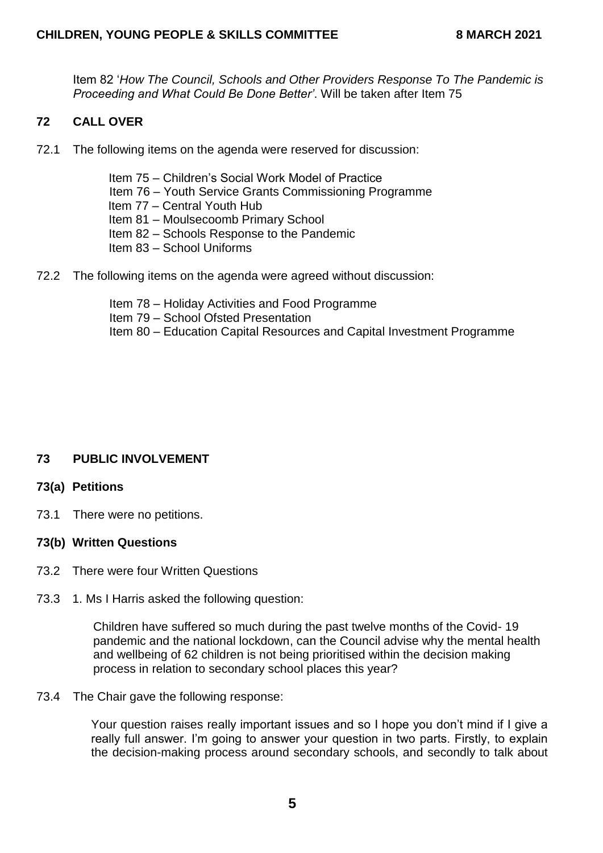Item 82 '*How The Council, Schools and Other Providers Response To The Pandemic is Proceeding and What Could Be Done Better'*. Will be taken after Item 75

# **72 CALL OVER**

72.1 The following items on the agenda were reserved for discussion:

Item 75 – Children's Social Work Model of Practice Item 76 – Youth Service Grants Commissioning Programme Item 77 – Central Youth Hub Item 81 – Moulsecoomb Primary School Item 82 – Schools Response to the Pandemic Item 83 – School Uniforms

72.2 The following items on the agenda were agreed without discussion:

Item 78 – Holiday Activities and Food Programme Item 79 – School Ofsted Presentation Item 80 – Education Capital Resources and Capital Investment Programme

# **73 PUBLIC INVOLVEMENT**

# **73(a) Petitions**

73.1 There were no petitions.

# **73(b) Written Questions**

- 73.2 There were four Written Questions
- 73.3 1. Ms I Harris asked the following question:

Children have suffered so much during the past twelve months of the Covid- 19 pandemic and the national lockdown, can the Council advise why the mental health and wellbeing of 62 children is not being prioritised within the decision making process in relation to secondary school places this year?

### 73.4 The Chair gave the following response:

Your question raises really important issues and so I hope you don't mind if I give a really full answer. I'm going to answer your question in two parts. Firstly, to explain the decision-making process around secondary schools, and secondly to talk about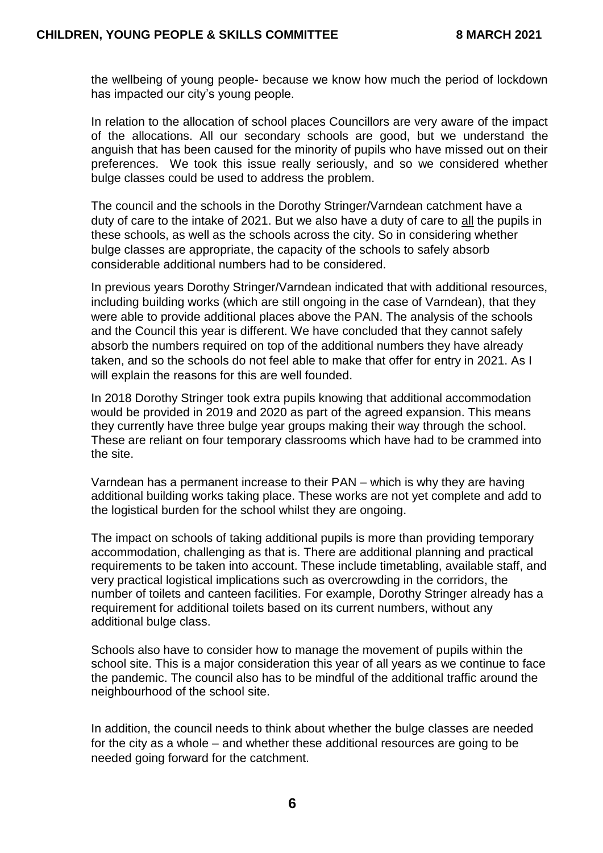the wellbeing of young people- because we know how much the period of lockdown has impacted our city's young people.

In relation to the allocation of school places Councillors are very aware of the impact of the allocations. All our secondary schools are good, but we understand the anguish that has been caused for the minority of pupils who have missed out on their preferences. We took this issue really seriously, and so we considered whether bulge classes could be used to address the problem.

The council and the schools in the Dorothy Stringer/Varndean catchment have a duty of care to the intake of 2021. But we also have a duty of care to all the pupils in these schools, as well as the schools across the city. So in considering whether bulge classes are appropriate, the capacity of the schools to safely absorb considerable additional numbers had to be considered.

In previous years Dorothy Stringer/Varndean indicated that with additional resources, including building works (which are still ongoing in the case of Varndean), that they were able to provide additional places above the PAN. The analysis of the schools and the Council this year is different. We have concluded that they cannot safely absorb the numbers required on top of the additional numbers they have already taken, and so the schools do not feel able to make that offer for entry in 2021. As I will explain the reasons for this are well founded.

In 2018 Dorothy Stringer took extra pupils knowing that additional accommodation would be provided in 2019 and 2020 as part of the agreed expansion. This means they currently have three bulge year groups making their way through the school. These are reliant on four temporary classrooms which have had to be crammed into the site.

Varndean has a permanent increase to their PAN – which is why they are having additional building works taking place. These works are not yet complete and add to the logistical burden for the school whilst they are ongoing.

The impact on schools of taking additional pupils is more than providing temporary accommodation, challenging as that is. There are additional planning and practical requirements to be taken into account. These include timetabling, available staff, and very practical logistical implications such as overcrowding in the corridors, the number of toilets and canteen facilities. For example, Dorothy Stringer already has a requirement for additional toilets based on its current numbers, without any additional bulge class.

Schools also have to consider how to manage the movement of pupils within the school site. This is a major consideration this year of all years as we continue to face the pandemic. The council also has to be mindful of the additional traffic around the neighbourhood of the school site.

In addition, the council needs to think about whether the bulge classes are needed for the city as a whole – and whether these additional resources are going to be needed going forward for the catchment.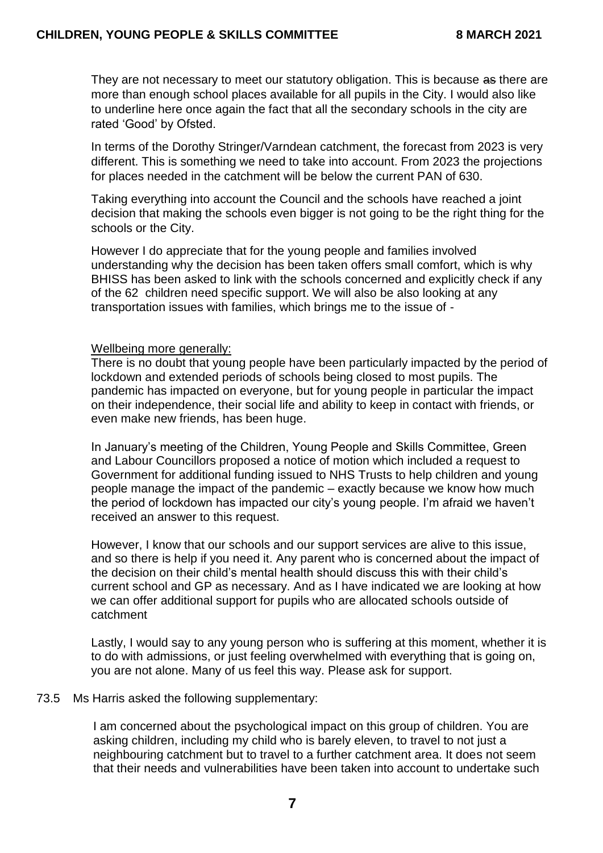They are not necessary to meet our statutory obligation. This is because as there are more than enough school places available for all pupils in the City. I would also like to underline here once again the fact that all the secondary schools in the city are rated 'Good' by Ofsted.

In terms of the Dorothy Stringer/Varndean catchment, the forecast from 2023 is very different. This is something we need to take into account. From 2023 the projections for places needed in the catchment will be below the current PAN of 630.

Taking everything into account the Council and the schools have reached a joint decision that making the schools even bigger is not going to be the right thing for the schools or the City.

However I do appreciate that for the young people and families involved understanding why the decision has been taken offers small comfort, which is why BHISS has been asked to link with the schools concerned and explicitly check if any of the 62 children need specific support. We will also be also looking at any transportation issues with families, which brings me to the issue of -

#### Wellbeing more generally:

There is no doubt that young people have been particularly impacted by the period of lockdown and extended periods of schools being closed to most pupils. The pandemic has impacted on everyone, but for young people in particular the impact on their independence, their social life and ability to keep in contact with friends, or even make new friends, has been huge.

In January's meeting of the Children, Young People and Skills Committee, Green and Labour Councillors proposed a notice of motion which included a request to Government for additional funding issued to NHS Trusts to help children and young people manage the impact of the pandemic – exactly because we know how much the period of lockdown has impacted our city's young people. I'm afraid we haven't received an answer to this request.

However, I know that our schools and our support services are alive to this issue, and so there is help if you need it. Any parent who is concerned about the impact of the decision on their child's mental health should discuss this with their child's current school and GP as necessary. And as I have indicated we are looking at how we can offer additional support for pupils who are allocated schools outside of catchment

Lastly, I would say to any young person who is suffering at this moment, whether it is to do with admissions, or just feeling overwhelmed with everything that is going on, you are not alone. Many of us feel this way. Please ask for support.

#### 73.5 Ms Harris asked the following supplementary:

I am concerned about the psychological impact on this group of children. You are asking children, including my child who is barely eleven, to travel to not just a neighbouring catchment but to travel to a further catchment area. It does not seem that their needs and vulnerabilities have been taken into account to undertake such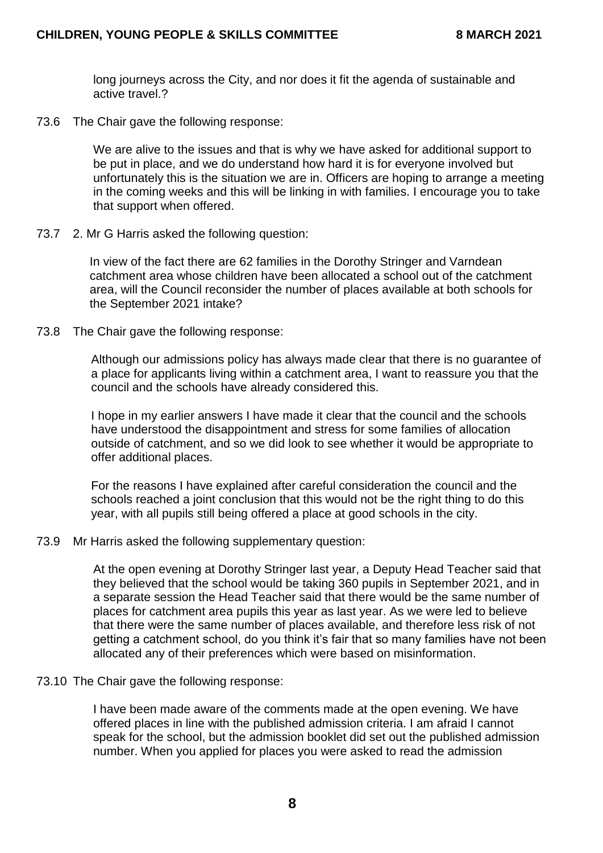long journeys across the City, and nor does it fit the agenda of sustainable and active travel.?

73.6 The Chair gave the following response:

We are alive to the issues and that is why we have asked for additional support to be put in place, and we do understand how hard it is for everyone involved but unfortunately this is the situation we are in. Officers are hoping to arrange a meeting in the coming weeks and this will be linking in with families. I encourage you to take that support when offered.

73.7 2. Mr G Harris asked the following question:

In view of the fact there are 62 families in the Dorothy Stringer and Varndean catchment area whose children have been allocated a school out of the catchment area, will the Council reconsider the number of places available at both schools for the September 2021 intake?

73.8 The Chair gave the following response:

Although our admissions policy has always made clear that there is no guarantee of a place for applicants living within a catchment area, I want to reassure you that the council and the schools have already considered this.

I hope in my earlier answers I have made it clear that the council and the schools have understood the disappointment and stress for some families of allocation outside of catchment, and so we did look to see whether it would be appropriate to offer additional places.

For the reasons I have explained after careful consideration the council and the schools reached a joint conclusion that this would not be the right thing to do this year, with all pupils still being offered a place at good schools in the city.

73.9 Mr Harris asked the following supplementary question:

At the open evening at Dorothy Stringer last year, a Deputy Head Teacher said that they believed that the school would be taking 360 pupils in September 2021, and in a separate session the Head Teacher said that there would be the same number of places for catchment area pupils this year as last year. As we were led to believe that there were the same number of places available, and therefore less risk of not getting a catchment school, do you think it's fair that so many families have not been allocated any of their preferences which were based on misinformation.

73.10 The Chair gave the following response:

I have been made aware of the comments made at the open evening. We have offered places in line with the published admission criteria. I am afraid I cannot speak for the school, but the admission booklet did set out the published admission number. When you applied for places you were asked to read the admission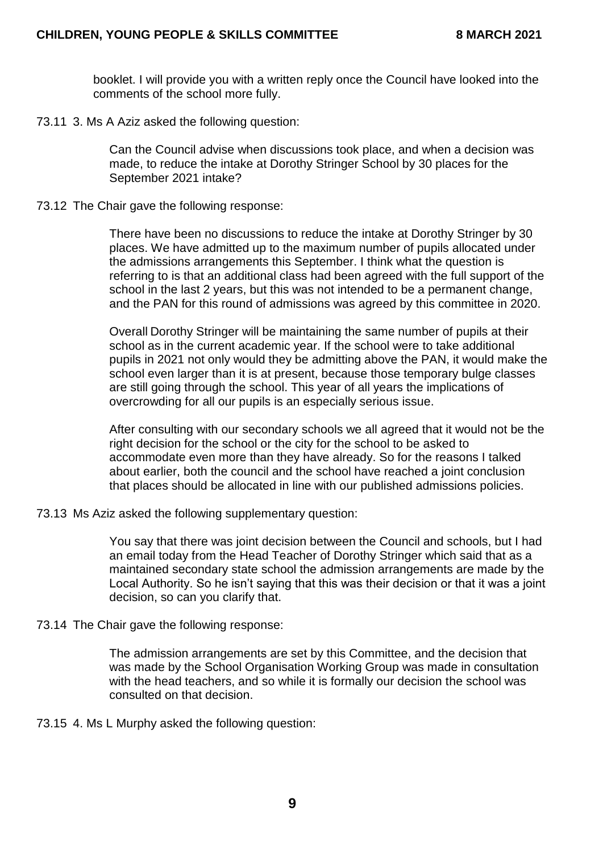booklet. I will provide you with a written reply once the Council have looked into the comments of the school more fully.

73.11 3. Ms A Aziz asked the following question:

Can the Council advise when discussions took place, and when a decision was made, to reduce the intake at Dorothy Stringer School by 30 places for the September 2021 intake?

73.12 The Chair gave the following response:

There have been no discussions to reduce the intake at Dorothy Stringer by 30 places. We have admitted up to the maximum number of pupils allocated under the admissions arrangements this September. I think what the question is referring to is that an additional class had been agreed with the full support of the school in the last 2 years, but this was not intended to be a permanent change, and the PAN for this round of admissions was agreed by this committee in 2020.

Overall Dorothy Stringer will be maintaining the same number of pupils at their school as in the current academic year. If the school were to take additional pupils in 2021 not only would they be admitting above the PAN, it would make the school even larger than it is at present, because those temporary bulge classes are still going through the school. This year of all years the implications of overcrowding for all our pupils is an especially serious issue.

After consulting with our secondary schools we all agreed that it would not be the right decision for the school or the city for the school to be asked to accommodate even more than they have already. So for the reasons I talked about earlier, both the council and the school have reached a joint conclusion that places should be allocated in line with our published admissions policies.

73.13 Ms Aziz asked the following supplementary question:

You say that there was joint decision between the Council and schools, but I had an email today from the Head Teacher of Dorothy Stringer which said that as a maintained secondary state school the admission arrangements are made by the Local Authority. So he isn't saying that this was their decision or that it was a joint decision, so can you clarify that.

### 73.14 The Chair gave the following response:

The admission arrangements are set by this Committee, and the decision that was made by the School Organisation Working Group was made in consultation with the head teachers, and so while it is formally our decision the school was consulted on that decision.

73.15 4. Ms L Murphy asked the following question: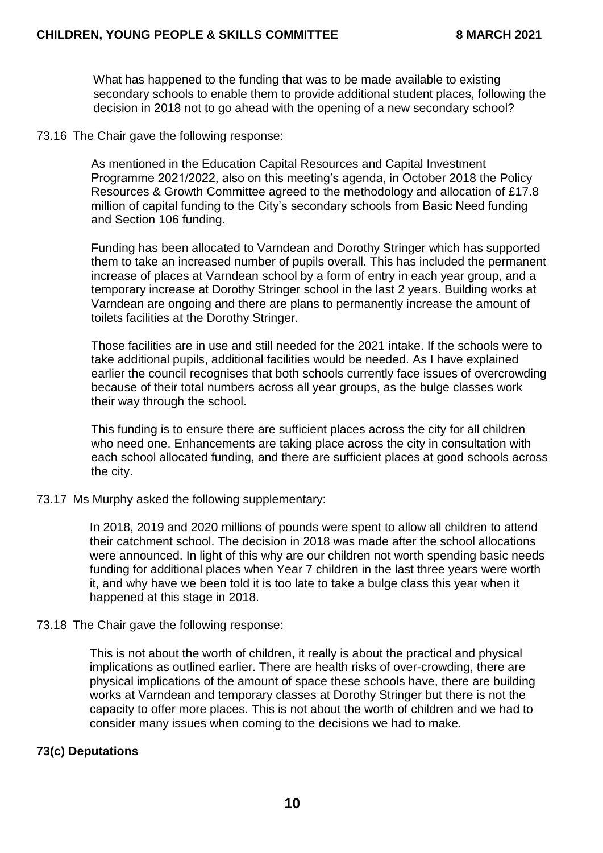What has happened to the funding that was to be made available to existing secondary schools to enable them to provide additional student places, following the decision in 2018 not to go ahead with the opening of a new secondary school?

73.16 The Chair gave the following response:

As mentioned in the Education Capital Resources and Capital Investment Programme 2021/2022, also on this meeting's agenda, in October 2018 the Policy Resources & Growth Committee agreed to the methodology and allocation of £17.8 million of capital funding to the City's secondary schools from Basic Need funding and Section 106 funding.

Funding has been allocated to Varndean and Dorothy Stringer which has supported them to take an increased number of pupils overall. This has included the permanent increase of places at Varndean school by a form of entry in each year group, and a temporary increase at Dorothy Stringer school in the last 2 years. Building works at Varndean are ongoing and there are plans to permanently increase the amount of toilets facilities at the Dorothy Stringer.

Those facilities are in use and still needed for the 2021 intake. If the schools were to take additional pupils, additional facilities would be needed. As I have explained earlier the council recognises that both schools currently face issues of overcrowding because of their total numbers across all year groups, as the bulge classes work their way through the school.

This funding is to ensure there are sufficient places across the city for all children who need one. Enhancements are taking place across the city in consultation with each school allocated funding, and there are sufficient places at good schools across the city.

73.17 Ms Murphy asked the following supplementary:

In 2018, 2019 and 2020 millions of pounds were spent to allow all children to attend their catchment school. The decision in 2018 was made after the school allocations were announced. In light of this why are our children not worth spending basic needs funding for additional places when Year 7 children in the last three years were worth it, and why have we been told it is too late to take a bulge class this year when it happened at this stage in 2018.

#### 73.18 The Chair gave the following response:

This is not about the worth of children, it really is about the practical and physical implications as outlined earlier. There are health risks of over-crowding, there are physical implications of the amount of space these schools have, there are building works at Varndean and temporary classes at Dorothy Stringer but there is not the capacity to offer more places. This is not about the worth of children and we had to consider many issues when coming to the decisions we had to make.

### **73(c) Deputations**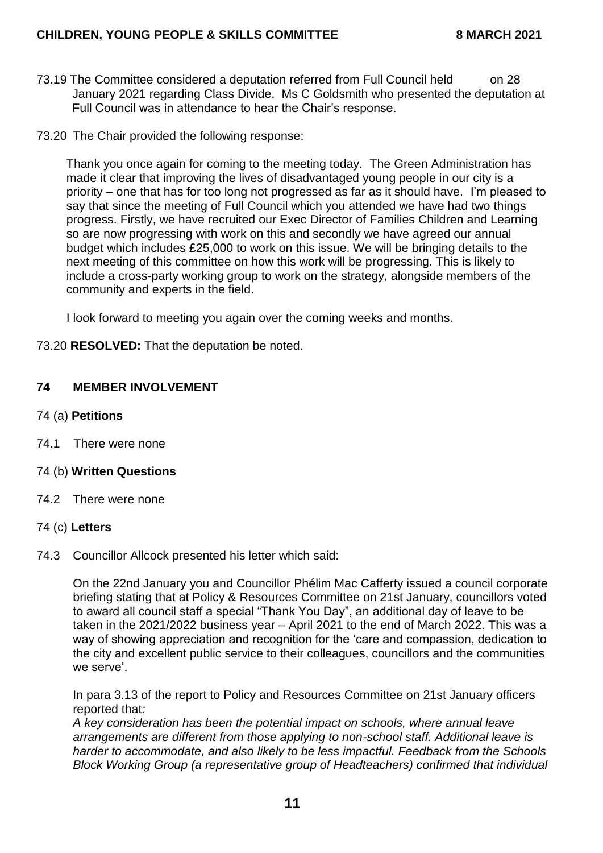- 73.19 The Committee considered a deputation referred from Full Council held on 28 January 2021 regarding Class Divide. Ms C Goldsmith who presented the deputation at Full Council was in attendance to hear the Chair's response.
- 73.20 The Chair provided the following response:

Thank you once again for coming to the meeting today. The Green Administration has made it clear that improving the lives of disadvantaged young people in our city is a priority – one that has for too long not progressed as far as it should have. I'm pleased to say that since the meeting of Full Council which you attended we have had two things progress. Firstly, we have recruited our Exec Director of Families Children and Learning so are now progressing with work on this and secondly we have agreed our annual budget which includes £25,000 to work on this issue. We will be bringing details to the next meeting of this committee on how this work will be progressing. This is likely to include a cross-party working group to work on the strategy, alongside members of the community and experts in the field.

I look forward to meeting you again over the coming weeks and months.

73.20 **RESOLVED:** That the deputation be noted.

### **74 MEMBER INVOLVEMENT**

- 74 (a) **Petitions**
- 74.1 There were none
- 74 (b) **Written Questions**
- 74.2 There were none

### 74 (c) **Letters**

74.3 Councillor Allcock presented his letter which said:

On the 22nd January you and Councillor Phélim Mac Cafferty issued a council corporate briefing stating that at Policy & Resources Committee on 21st January, councillors voted to award all council staff a special "Thank You Day", an additional day of leave to be taken in the 2021/2022 business year – April 2021 to the end of March 2022. This was a way of showing appreciation and recognition for the 'care and compassion, dedication to the city and excellent public service to their colleagues, councillors and the communities we serve'.

In para 3.13 of the report to Policy and Resources Committee on 21st January officers reported that*:*

*A key consideration has been the potential impact on schools, where annual leave arrangements are different from those applying to non-school staff. Additional leave is harder to accommodate, and also likely to be less impactful. Feedback from the Schools Block Working Group (a representative group of Headteachers) confirmed that individual*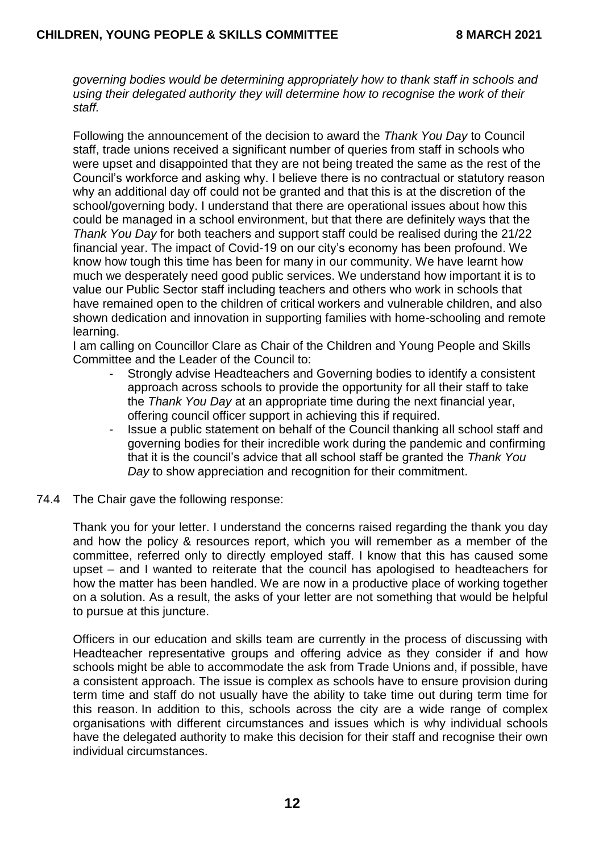*governing bodies would be determining appropriately how to thank staff in schools and using their delegated authority they will determine how to recognise the work of their staff.*

Following the announcement of the decision to award the *Thank You Day* to Council staff, trade unions received a significant number of queries from staff in schools who were upset and disappointed that they are not being treated the same as the rest of the Council's workforce and asking why. I believe there is no contractual or statutory reason why an additional day off could not be granted and that this is at the discretion of the school/governing body. I understand that there are operational issues about how this could be managed in a school environment, but that there are definitely ways that the *Thank You Day* for both teachers and support staff could be realised during the 21/22 financial year. The impact of Covid-19 on our city's economy has been profound. We know how tough this time has been for many in our community. We have learnt how much we desperately need good public services. We understand how important it is to value our Public Sector staff including teachers and others who work in schools that have remained open to the children of critical workers and vulnerable children, and also shown dedication and innovation in supporting families with home-schooling and remote learning.

I am calling on Councillor Clare as Chair of the Children and Young People and Skills Committee and the Leader of the Council to:

- Strongly advise Headteachers and Governing bodies to identify a consistent approach across schools to provide the opportunity for all their staff to take the *Thank You Day* at an appropriate time during the next financial year, offering council officer support in achieving this if required.
- Issue a public statement on behalf of the Council thanking all school staff and governing bodies for their incredible work during the pandemic and confirming that it is the council's advice that all school staff be granted the *Thank You Day* to show appreciation and recognition for their commitment.
- 74.4 The Chair gave the following response:

Thank you for your letter. I understand the concerns raised regarding the thank you day and how the policy & resources report, which you will remember as a member of the committee, referred only to directly employed staff. I know that this has caused some upset – and I wanted to reiterate that the council has apologised to headteachers for how the matter has been handled. We are now in a productive place of working together on a solution. As a result, the asks of your letter are not something that would be helpful to pursue at this juncture.

Officers in our education and skills team are currently in the process of discussing with Headteacher representative groups and offering advice as they consider if and how schools might be able to accommodate the ask from Trade Unions and, if possible, have a consistent approach. The issue is complex as schools have to ensure provision during term time and staff do not usually have the ability to take time out during term time for this reason. In addition to this, schools across the city are a wide range of complex organisations with different circumstances and issues which is why individual schools have the delegated authority to make this decision for their staff and recognise their own individual circumstances.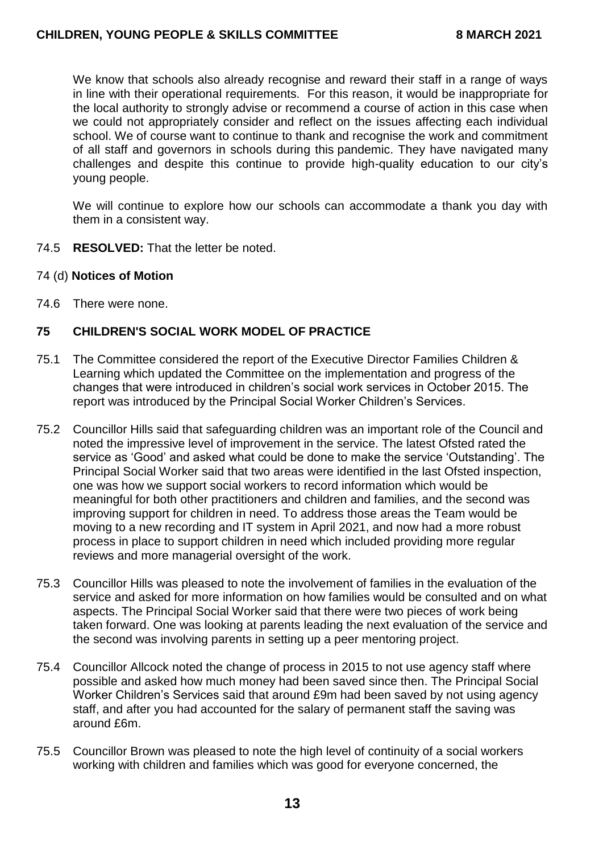We know that schools also already recognise and reward their staff in a range of ways in line with their operational requirements. For this reason, it would be inappropriate for the local authority to strongly advise or recommend a course of action in this case when we could not appropriately consider and reflect on the issues affecting each individual school. We of course want to continue to thank and recognise the work and commitment of all staff and governors in schools during this pandemic. They have navigated many challenges and despite this continue to provide high-quality education to our city's young people.

We will continue to explore how our schools can accommodate a thank you day with them in a consistent way.

- 74.5 **RESOLVED:** That the letter be noted.
- 74 (d) **Notices of Motion**
- 74.6 There were none.

## **75 CHILDREN'S SOCIAL WORK MODEL OF PRACTICE**

- 75.1 The Committee considered the report of the Executive Director Families Children & Learning which updated the Committee on the implementation and progress of the changes that were introduced in children's social work services in October 2015. The report was introduced by the Principal Social Worker Children's Services.
- 75.2 Councillor Hills said that safeguarding children was an important role of the Council and noted the impressive level of improvement in the service. The latest Ofsted rated the service as 'Good' and asked what could be done to make the service 'Outstanding'. The Principal Social Worker said that two areas were identified in the last Ofsted inspection, one was how we support social workers to record information which would be meaningful for both other practitioners and children and families, and the second was improving support for children in need. To address those areas the Team would be moving to a new recording and IT system in April 2021, and now had a more robust process in place to support children in need which included providing more regular reviews and more managerial oversight of the work.
- 75.3 Councillor Hills was pleased to note the involvement of families in the evaluation of the service and asked for more information on how families would be consulted and on what aspects. The Principal Social Worker said that there were two pieces of work being taken forward. One was looking at parents leading the next evaluation of the service and the second was involving parents in setting up a peer mentoring project.
- 75.4 Councillor Allcock noted the change of process in 2015 to not use agency staff where possible and asked how much money had been saved since then. The Principal Social Worker Children's Services said that around £9m had been saved by not using agency staff, and after you had accounted for the salary of permanent staff the saving was around £6m.
- 75.5 Councillor Brown was pleased to note the high level of continuity of a social workers working with children and families which was good for everyone concerned, the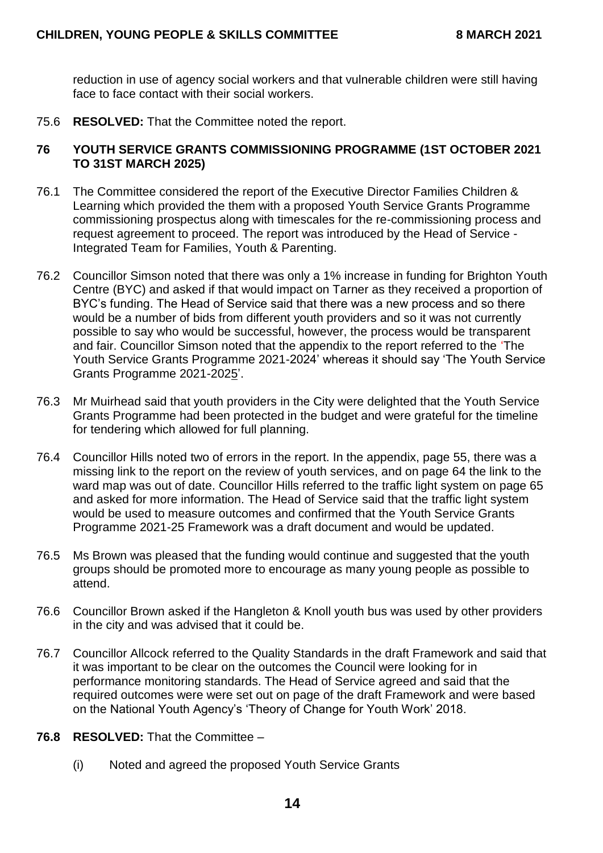reduction in use of agency social workers and that vulnerable children were still having face to face contact with their social workers.

75.6 **RESOLVED:** That the Committee noted the report.

### **76 YOUTH SERVICE GRANTS COMMISSIONING PROGRAMME (1ST OCTOBER 2021 TO 31ST MARCH 2025)**

- 76.1 The Committee considered the report of the Executive Director Families Children & Learning which provided the them with a proposed Youth Service Grants Programme commissioning prospectus along with timescales for the re-commissioning process and request agreement to proceed. The report was introduced by the Head of Service - Integrated Team for Families, Youth & Parenting.
- 76.2 Councillor Simson noted that there was only a 1% increase in funding for Brighton Youth Centre (BYC) and asked if that would impact on Tarner as they received a proportion of BYC's funding. The Head of Service said that there was a new process and so there would be a number of bids from different youth providers and so it was not currently possible to say who would be successful, however, the process would be transparent and fair. Councillor Simson noted that the appendix to the report referred to the 'The Youth Service Grants Programme 2021-2024' whereas it should say 'The Youth Service Grants Programme 2021-2025'.
- 76.3 Mr Muirhead said that youth providers in the City were delighted that the Youth Service Grants Programme had been protected in the budget and were grateful for the timeline for tendering which allowed for full planning.
- 76.4 Councillor Hills noted two of errors in the report. In the appendix, page 55, there was a missing link to the report on the review of youth services, and on page 64 the link to the ward map was out of date. Councillor Hills referred to the traffic light system on page 65 and asked for more information. The Head of Service said that the traffic light system would be used to measure outcomes and confirmed that the Youth Service Grants Programme 2021-25 Framework was a draft document and would be updated.
- 76.5 Ms Brown was pleased that the funding would continue and suggested that the youth groups should be promoted more to encourage as many young people as possible to attend.
- 76.6 Councillor Brown asked if the Hangleton & Knoll youth bus was used by other providers in the city and was advised that it could be.
- 76.7 Councillor Allcock referred to the Quality Standards in the draft Framework and said that it was important to be clear on the outcomes the Council were looking for in performance monitoring standards. The Head of Service agreed and said that the required outcomes were were set out on page of the draft Framework and were based on the National Youth Agency's 'Theory of Change for Youth Work' 2018.
- **76.8 RESOLVED:** That the Committee
	- (i) Noted and agreed the proposed Youth Service Grants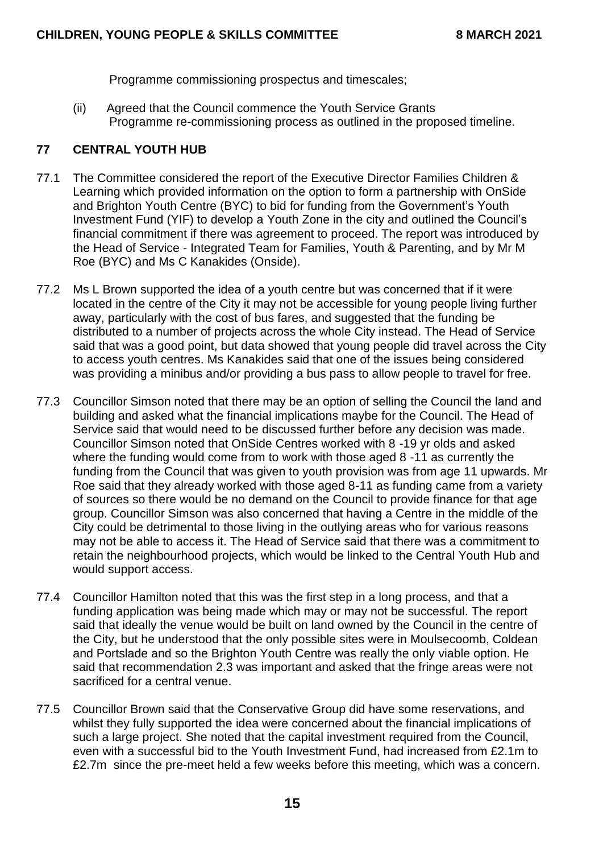Programme commissioning prospectus and timescales;

(ii) Agreed that the Council commence the Youth Service Grants Programme re-commissioning process as outlined in the proposed timeline.

# **77 CENTRAL YOUTH HUB**

- 77.1 The Committee considered the report of the Executive Director Families Children & Learning which provided information on the option to form a partnership with OnSide and Brighton Youth Centre (BYC) to bid for funding from the Government's Youth Investment Fund (YIF) to develop a Youth Zone in the city and outlined the Council's financial commitment if there was agreement to proceed. The report was introduced by the Head of Service - Integrated Team for Families, Youth & Parenting, and by Mr M Roe (BYC) and Ms C Kanakides (Onside).
- 77.2 Ms L Brown supported the idea of a youth centre but was concerned that if it were located in the centre of the City it may not be accessible for young people living further away, particularly with the cost of bus fares, and suggested that the funding be distributed to a number of projects across the whole City instead. The Head of Service said that was a good point, but data showed that young people did travel across the City to access youth centres. Ms Kanakides said that one of the issues being considered was providing a minibus and/or providing a bus pass to allow people to travel for free.
- 77.3 Councillor Simson noted that there may be an option of selling the Council the land and building and asked what the financial implications maybe for the Council. The Head of Service said that would need to be discussed further before any decision was made. Councillor Simson noted that OnSide Centres worked with 8 -19 yr olds and asked where the funding would come from to work with those aged 8 -11 as currently the funding from the Council that was given to youth provision was from age 11 upwards. Mr Roe said that they already worked with those aged 8-11 as funding came from a variety of sources so there would be no demand on the Council to provide finance for that age group. Councillor Simson was also concerned that having a Centre in the middle of the City could be detrimental to those living in the outlying areas who for various reasons may not be able to access it. The Head of Service said that there was a commitment to retain the neighbourhood projects, which would be linked to the Central Youth Hub and would support access.
- 77.4 Councillor Hamilton noted that this was the first step in a long process, and that a funding application was being made which may or may not be successful. The report said that ideally the venue would be built on land owned by the Council in the centre of the City, but he understood that the only possible sites were in Moulsecoomb, Coldean and Portslade and so the Brighton Youth Centre was really the only viable option. He said that recommendation 2.3 was important and asked that the fringe areas were not sacrificed for a central venue.
- 77.5 Councillor Brown said that the Conservative Group did have some reservations, and whilst they fully supported the idea were concerned about the financial implications of such a large project. She noted that the capital investment required from the Council, even with a successful bid to the Youth Investment Fund, had increased from £2.1m to £2.7m since the pre-meet held a few weeks before this meeting, which was a concern.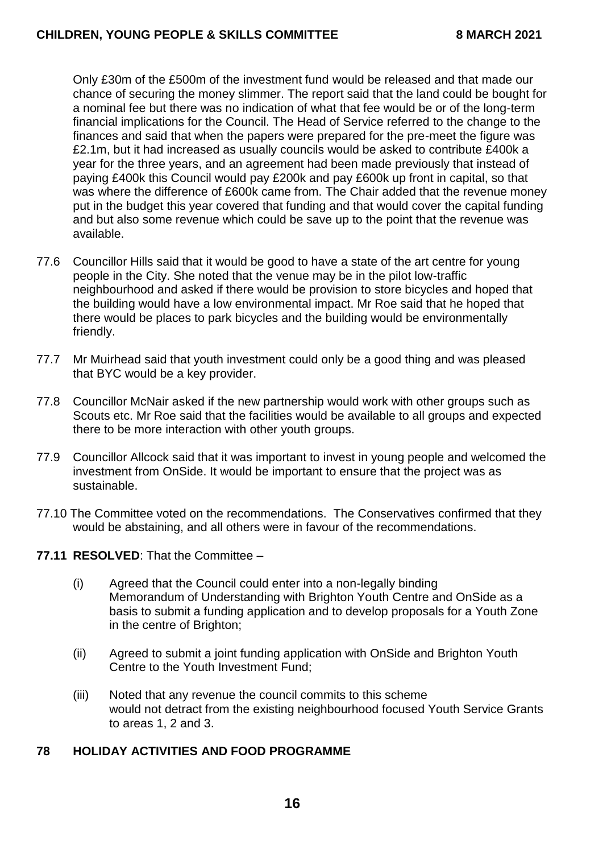Only £30m of the £500m of the investment fund would be released and that made our chance of securing the money slimmer. The report said that the land could be bought for a nominal fee but there was no indication of what that fee would be or of the long-term financial implications for the Council. The Head of Service referred to the change to the finances and said that when the papers were prepared for the pre-meet the figure was £2.1m, but it had increased as usually councils would be asked to contribute £400k a year for the three years, and an agreement had been made previously that instead of paying £400k this Council would pay £200k and pay £600k up front in capital, so that was where the difference of £600k came from. The Chair added that the revenue money put in the budget this year covered that funding and that would cover the capital funding and but also some revenue which could be save up to the point that the revenue was available.

- 77.6 Councillor Hills said that it would be good to have a state of the art centre for young people in the City. She noted that the venue may be in the pilot low-traffic neighbourhood and asked if there would be provision to store bicycles and hoped that the building would have a low environmental impact. Mr Roe said that he hoped that there would be places to park bicycles and the building would be environmentally friendly.
- 77.7 Mr Muirhead said that youth investment could only be a good thing and was pleased that BYC would be a key provider.
- 77.8 Councillor McNair asked if the new partnership would work with other groups such as Scouts etc. Mr Roe said that the facilities would be available to all groups and expected there to be more interaction with other youth groups.
- 77.9 Councillor Allcock said that it was important to invest in young people and welcomed the investment from OnSide. It would be important to ensure that the project was as sustainable.
- 77.10 The Committee voted on the recommendations. The Conservatives confirmed that they would be abstaining, and all others were in favour of the recommendations.

### **77.11 RESOLVED**: That the Committee –

- (i) Agreed that the Council could enter into a non-legally binding Memorandum of Understanding with Brighton Youth Centre and OnSide as a basis to submit a funding application and to develop proposals for a Youth Zone in the centre of Brighton;
- (ii) Agreed to submit a joint funding application with OnSide and Brighton Youth Centre to the Youth Investment Fund;
- (iii) Noted that any revenue the council commits to this scheme would not detract from the existing neighbourhood focused Youth Service Grants to areas 1, 2 and 3.

# **78 HOLIDAY ACTIVITIES AND FOOD PROGRAMME**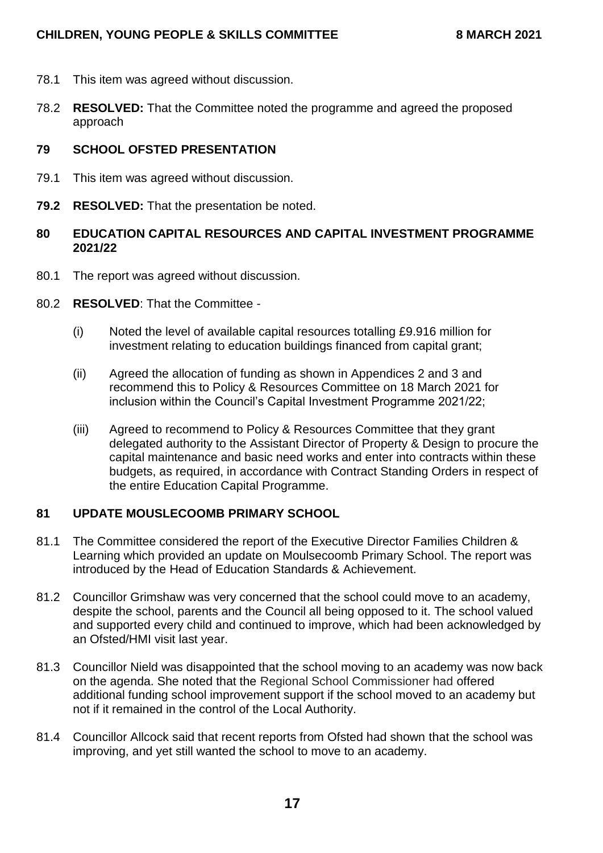- 78.1 This item was agreed without discussion.
- 78.2 **RESOLVED:** That the Committee noted the programme and agreed the proposed approach

## **79 SCHOOL OFSTED PRESENTATION**

- 79.1 This item was agreed without discussion.
- **79.2 RESOLVED:** That the presentation be noted.

## **80 EDUCATION CAPITAL RESOURCES AND CAPITAL INVESTMENT PROGRAMME 2021/22**

- 80.1 The report was agreed without discussion.
- 80.2 **RESOLVED**: That the Committee
	- (i) Noted the level of available capital resources totalling £9.916 million for investment relating to education buildings financed from capital grant;
	- (ii) Agreed the allocation of funding as shown in Appendices 2 and 3 and recommend this to Policy & Resources Committee on 18 March 2021 for inclusion within the Council's Capital Investment Programme 2021/22;
	- (iii) Agreed to recommend to Policy & Resources Committee that they grant delegated authority to the Assistant Director of Property & Design to procure the capital maintenance and basic need works and enter into contracts within these budgets, as required, in accordance with Contract Standing Orders in respect of the entire Education Capital Programme.

# **81 UPDATE MOUSLECOOMB PRIMARY SCHOOL**

- 81.1 The Committee considered the report of the Executive Director Families Children & Learning which provided an update on Moulsecoomb Primary School. The report was introduced by the Head of Education Standards & Achievement.
- 81.2 Councillor Grimshaw was very concerned that the school could move to an academy, despite the school, parents and the Council all being opposed to it. The school valued and supported every child and continued to improve, which had been acknowledged by an Ofsted/HMI visit last year.
- 81.3 Councillor Nield was disappointed that the school moving to an academy was now back on the agenda. She noted that the Regional School Commissioner had offered additional funding school improvement support if the school moved to an academy but not if it remained in the control of the Local Authority.
- 81.4 Councillor Allcock said that recent reports from Ofsted had shown that the school was improving, and yet still wanted the school to move to an academy.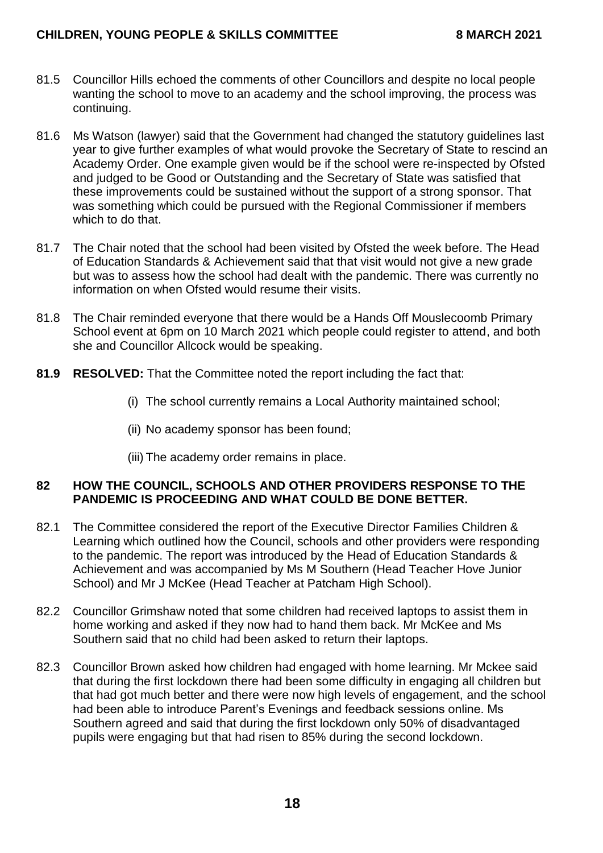## **CHILDREN, YOUNG PEOPLE & SKILLS COMMITTEE 8 MARCH 2021**

- 81.5 Councillor Hills echoed the comments of other Councillors and despite no local people wanting the school to move to an academy and the school improving, the process was continuing.
- 81.6 Ms Watson (lawyer) said that the Government had changed the statutory guidelines last year to give further examples of what would provoke the Secretary of State to rescind an Academy Order. One example given would be if the school were re-inspected by Ofsted and judged to be Good or Outstanding and the Secretary of State was satisfied that these improvements could be sustained without the support of a strong sponsor. That was something which could be pursued with the Regional Commissioner if members which to do that.
- 81.7 The Chair noted that the school had been visited by Ofsted the week before. The Head of Education Standards & Achievement said that that visit would not give a new grade but was to assess how the school had dealt with the pandemic. There was currently no information on when Ofsted would resume their visits.
- 81.8 The Chair reminded everyone that there would be a Hands Off Mouslecoomb Primary School event at 6pm on 10 March 2021 which people could register to attend, and both she and Councillor Allcock would be speaking.
- **81.9 RESOLVED:** That the Committee noted the report including the fact that:
	- (i) The school currently remains a Local Authority maintained school;
	- (ii) No academy sponsor has been found;
	- (iii) The academy order remains in place.

#### **82 HOW THE COUNCIL, SCHOOLS AND OTHER PROVIDERS RESPONSE TO THE PANDEMIC IS PROCEEDING AND WHAT COULD BE DONE BETTER.**

- 82.1 The Committee considered the report of the Executive Director Families Children & Learning which outlined how the Council, schools and other providers were responding to the pandemic. The report was introduced by the Head of Education Standards & Achievement and was accompanied by Ms M Southern (Head Teacher Hove Junior School) and Mr J McKee (Head Teacher at Patcham High School).
- 82.2 Councillor Grimshaw noted that some children had received laptops to assist them in home working and asked if they now had to hand them back. Mr McKee and Ms Southern said that no child had been asked to return their laptops.
- 82.3 Councillor Brown asked how children had engaged with home learning. Mr Mckee said that during the first lockdown there had been some difficulty in engaging all children but that had got much better and there were now high levels of engagement, and the school had been able to introduce Parent's Evenings and feedback sessions online. Ms Southern agreed and said that during the first lockdown only 50% of disadvantaged pupils were engaging but that had risen to 85% during the second lockdown.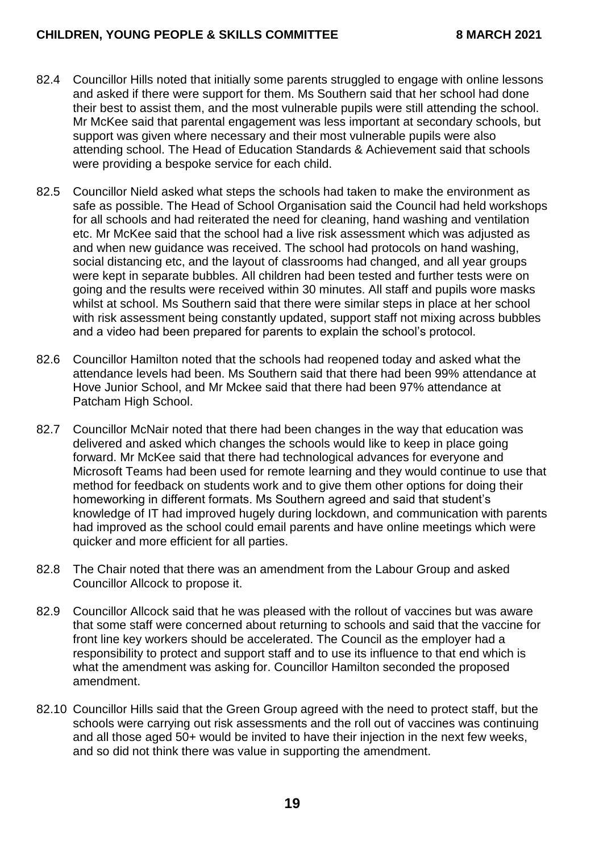- 82.4 Councillor Hills noted that initially some parents struggled to engage with online lessons and asked if there were support for them. Ms Southern said that her school had done their best to assist them, and the most vulnerable pupils were still attending the school. Mr McKee said that parental engagement was less important at secondary schools, but support was given where necessary and their most vulnerable pupils were also attending school. The Head of Education Standards & Achievement said that schools were providing a bespoke service for each child.
- 82.5 Councillor Nield asked what steps the schools had taken to make the environment as safe as possible. The Head of School Organisation said the Council had held workshops for all schools and had reiterated the need for cleaning, hand washing and ventilation etc. Mr McKee said that the school had a live risk assessment which was adjusted as and when new guidance was received. The school had protocols on hand washing, social distancing etc, and the layout of classrooms had changed, and all year groups were kept in separate bubbles. All children had been tested and further tests were on going and the results were received within 30 minutes. All staff and pupils wore masks whilst at school. Ms Southern said that there were similar steps in place at her school with risk assessment being constantly updated, support staff not mixing across bubbles and a video had been prepared for parents to explain the school's protocol.
- 82.6 Councillor Hamilton noted that the schools had reopened today and asked what the attendance levels had been. Ms Southern said that there had been 99% attendance at Hove Junior School, and Mr Mckee said that there had been 97% attendance at Patcham High School.
- 82.7 Councillor McNair noted that there had been changes in the way that education was delivered and asked which changes the schools would like to keep in place going forward. Mr McKee said that there had technological advances for everyone and Microsoft Teams had been used for remote learning and they would continue to use that method for feedback on students work and to give them other options for doing their homeworking in different formats. Ms Southern agreed and said that student's knowledge of IT had improved hugely during lockdown, and communication with parents had improved as the school could email parents and have online meetings which were quicker and more efficient for all parties.
- 82.8 The Chair noted that there was an amendment from the Labour Group and asked Councillor Allcock to propose it.
- 82.9 Councillor Allcock said that he was pleased with the rollout of vaccines but was aware that some staff were concerned about returning to schools and said that the vaccine for front line key workers should be accelerated. The Council as the employer had a responsibility to protect and support staff and to use its influence to that end which is what the amendment was asking for. Councillor Hamilton seconded the proposed amendment.
- 82.10 Councillor Hills said that the Green Group agreed with the need to protect staff, but the schools were carrying out risk assessments and the roll out of vaccines was continuing and all those aged 50+ would be invited to have their injection in the next few weeks, and so did not think there was value in supporting the amendment.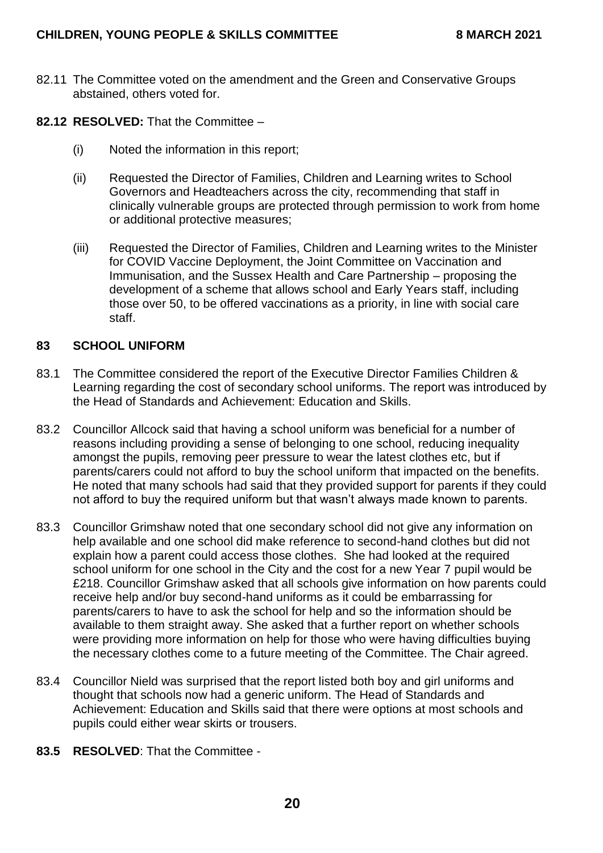- 82.11 The Committee voted on the amendment and the Green and Conservative Groups abstained, others voted for.
- **82.12 RESOLVED:** That the Committee
	- (i) Noted the information in this report;
	- (ii) Requested the Director of Families, Children and Learning writes to School Governors and Headteachers across the city, recommending that staff in clinically vulnerable groups are protected through permission to work from home or additional protective measures;
	- (iii) Requested the Director of Families, Children and Learning writes to the Minister for COVID Vaccine Deployment, the Joint Committee on Vaccination and Immunisation, and the Sussex Health and Care Partnership – proposing the development of a scheme that allows school and Early Years staff, including those over 50, to be offered vaccinations as a priority, in line with social care staff.

#### **83 SCHOOL UNIFORM**

- 83.1 The Committee considered the report of the Executive Director Families Children & Learning regarding the cost of secondary school uniforms. The report was introduced by the Head of Standards and Achievement: Education and Skills.
- 83.2 Councillor Allcock said that having a school uniform was beneficial for a number of reasons including providing a sense of belonging to one school, reducing inequality amongst the pupils, removing peer pressure to wear the latest clothes etc, but if parents/carers could not afford to buy the school uniform that impacted on the benefits. He noted that many schools had said that they provided support for parents if they could not afford to buy the required uniform but that wasn't always made known to parents.
- 83.3 Councillor Grimshaw noted that one secondary school did not give any information on help available and one school did make reference to second-hand clothes but did not explain how a parent could access those clothes. She had looked at the required school uniform for one school in the City and the cost for a new Year 7 pupil would be £218. Councillor Grimshaw asked that all schools give information on how parents could receive help and/or buy second-hand uniforms as it could be embarrassing for parents/carers to have to ask the school for help and so the information should be available to them straight away. She asked that a further report on whether schools were providing more information on help for those who were having difficulties buying the necessary clothes come to a future meeting of the Committee. The Chair agreed.
- 83.4 Councillor Nield was surprised that the report listed both boy and girl uniforms and thought that schools now had a generic uniform. The Head of Standards and Achievement: Education and Skills said that there were options at most schools and pupils could either wear skirts or trousers.
- **83.5 RESOLVED**: That the Committee -